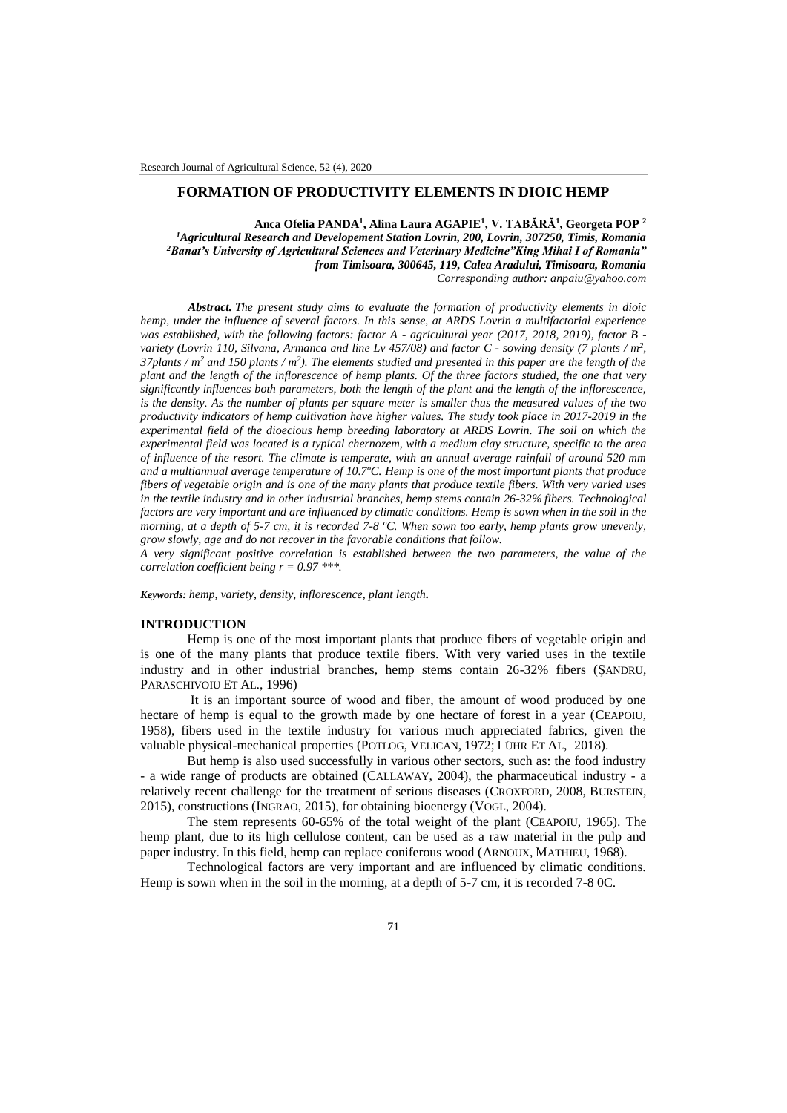# **FORMATION OF PRODUCTIVITY ELEMENTS IN DIOIC HEMP**

**Anca Ofelia PANDA<sup>1</sup> , Alina Laura AGAPIE<sup>1</sup> , V. TABĂRĂ<sup>1</sup> , Georgeta POP <sup>2</sup>** *<sup>1</sup>Agricultural Research and Developement Station Lovrin, 200, Lovrin, 307250, Timis, Romania <sup>2</sup>Banat's University of Agricultural Sciences and Veterinary Medicine"King Mihai I of Romania" from Timisoara, 300645, 119, Calea Aradului, Timisoara, Romania Corresponding author: anpaiu@yahoo.com*

*Abstract. The present study aims to evaluate the formation of productivity elements in dioic hemp, under the influence of several factors. In this sense, at ARDS Lovrin a multifactorial experience was established, with the following factors: factor A - agricultural year (2017, 2018, 2019), factor B variety (Lovrin 110, Silvana, Armanca and line Lv 457/08) and factor C - sowing density (7 plants / m<sup>2</sup> , 37plants / m<sup>2</sup> and 150 plants / m<sup>2</sup>). The elements studied and presented in this paper are the length of the plant and the length of the inflorescence of hemp plants. Of the three factors studied, the one that very significantly influences both parameters, both the length of the plant and the length of the inflorescence, is the density. As the number of plants per square meter is smaller thus the measured values of the two productivity indicators of hemp cultivation have higher values. The study took place in 2017-2019 in the experimental field of the dioecious hemp breeding laboratory at ARDS Lovrin. The soil on which the experimental field was located is a typical chernozem, with a medium clay structure, specific to the area of influence of the resort. The climate is temperate, with an annual average rainfall of around 520 mm and a multiannual average temperature of 10.7ºC. Hemp is one of the most important plants that produce fibers of vegetable origin and is one of the many plants that produce textile fibers. With very varied uses in the textile industry and in other industrial branches, hemp stems contain 26-32% fibers. Technological factors are very important and are influenced by climatic conditions. Hemp is sown when in the soil in the morning, at a depth of 5-7 cm, it is recorded 7-8 ºC. When sown too early, hemp plants grow unevenly, grow slowly, age and do not recover in the favorable conditions that follow.*

*A very significant positive correlation is established between the two parameters, the value of the correlation coefficient being r = 0.97 \*\*\*.*

*Keywords: hemp, variety, density, inflorescence, plant length.*

#### **INTRODUCTION**

Hemp is one of the most important plants that produce fibers of vegetable origin and is one of the many plants that produce textile fibers. With very varied uses in the textile industry and in other industrial branches, hemp stems contain 26-32% fibers (ŞANDRU, PARASCHIVOIU ET AL., 1996)

It is an important source of wood and fiber, the amount of wood produced by one hectare of hemp is equal to the growth made by one hectare of forest in a year (CEAPOIU, 1958), fibers used in the textile industry for various much appreciated fabrics, given the valuable physical-mechanical properties (POTLOG, VELICAN, 1972; LÜHR ET AL, 2018).

But hemp is also used successfully in various other sectors, such as: the food industry - a wide range of products are obtained (CALLAWAY, 2004), the pharmaceutical industry - a relatively recent challenge for the treatment of serious diseases (CROXFORD, 2008, BURSTEIN, 2015), constructions (INGRAO, 2015), for obtaining bioenergy (VOGL, 2004).

The stem represents 60-65% of the total weight of the plant (CEAPOIU, 1965). The hemp plant, due to its high cellulose content, can be used as a raw material in the pulp and paper industry. In this field, hemp can replace coniferous wood (ARNOUX, MATHIEU, 1968).

Technological factors are very important and are influenced by climatic conditions. Hemp is sown when in the soil in the morning, at a depth of 5-7 cm, it is recorded 7-8 0C.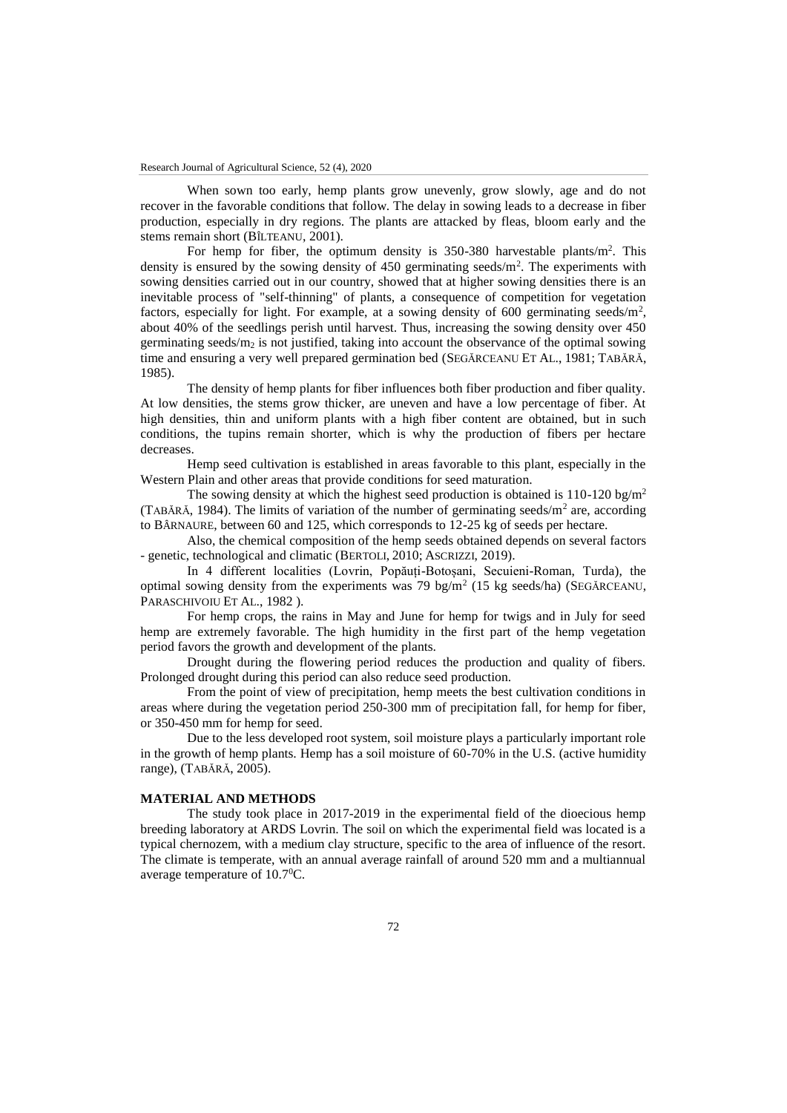When sown too early, hemp plants grow unevenly, grow slowly, age and do not recover in the favorable conditions that follow. The delay in sowing leads to a decrease in fiber production, especially in dry regions. The plants are attacked by fleas, bloom early and the stems remain short (BÎLTEANU, 2001).

For hemp for fiber, the optimum density is  $350-380$  harvestable plants/m<sup>2</sup>. This density is ensured by the sowing density of  $450$  germinating seeds/m<sup>2</sup>. The experiments with sowing densities carried out in our country, showed that at higher sowing densities there is an inevitable process of "self-thinning" of plants, a consequence of competition for vegetation factors, especially for light. For example, at a sowing density of  $600$  germinating seeds/m<sup>2</sup>, about 40% of the seedlings perish until harvest. Thus, increasing the sowing density over 450 germinating seeds/ $m_2$  is not justified, taking into account the observance of the optimal sowing time and ensuring a very well prepared germination bed (SEGĂRCEANU ET AL., 1981; TABĂRĂ, 1985).

The density of hemp plants for fiber influences both fiber production and fiber quality. At low densities, the stems grow thicker, are uneven and have a low percentage of fiber. At high densities, thin and uniform plants with a high fiber content are obtained, but in such conditions, the tupins remain shorter, which is why the production of fibers per hectare decreases.

Hemp seed cultivation is established in areas favorable to this plant, especially in the Western Plain and other areas that provide conditions for seed maturation.

The sowing density at which the highest seed production is obtained is 110-120 bg/m<sup>2</sup> (TABĂRĂ, 1984). The limits of variation of the number of germinating seeds/ $m<sup>2</sup>$  are, according to BÂRNAURE, between 60 and 125, which corresponds to 12-25 kg of seeds per hectare.

Also, the chemical composition of the hemp seeds obtained depends on several factors - genetic, technological and climatic (BERTOLI, 2010; ASCRIZZI, 2019).

In 4 different localities (Lovrin, Popăuți-Botoșani, Secuieni-Roman, Turda), the optimal sowing density from the experiments was 79 bg/m<sup>2</sup> (15 kg seeds/ha) (SEGÅRCEANU, PARASCHIVOIU ET AL., 1982 ).

For hemp crops, the rains in May and June for hemp for twigs and in July for seed hemp are extremely favorable. The high humidity in the first part of the hemp vegetation period favors the growth and development of the plants.

Drought during the flowering period reduces the production and quality of fibers. Prolonged drought during this period can also reduce seed production.

From the point of view of precipitation, hemp meets the best cultivation conditions in areas where during the vegetation period 250-300 mm of precipitation fall, for hemp for fiber, or 350-450 mm for hemp for seed.

Due to the less developed root system, soil moisture plays a particularly important role in the growth of hemp plants. Hemp has a soil moisture of 60-70% in the U.S. (active humidity range), (TABĂRĂ, 2005).

# **MATERIAL AND METHODS**

The study took place in 2017-2019 in the experimental field of the dioecious hemp breeding laboratory at ARDS Lovrin. The soil on which the experimental field was located is a typical chernozem, with a medium clay structure, specific to the area of influence of the resort. The climate is temperate, with an annual average rainfall of around 520 mm and a multiannual average temperature of 10.70C.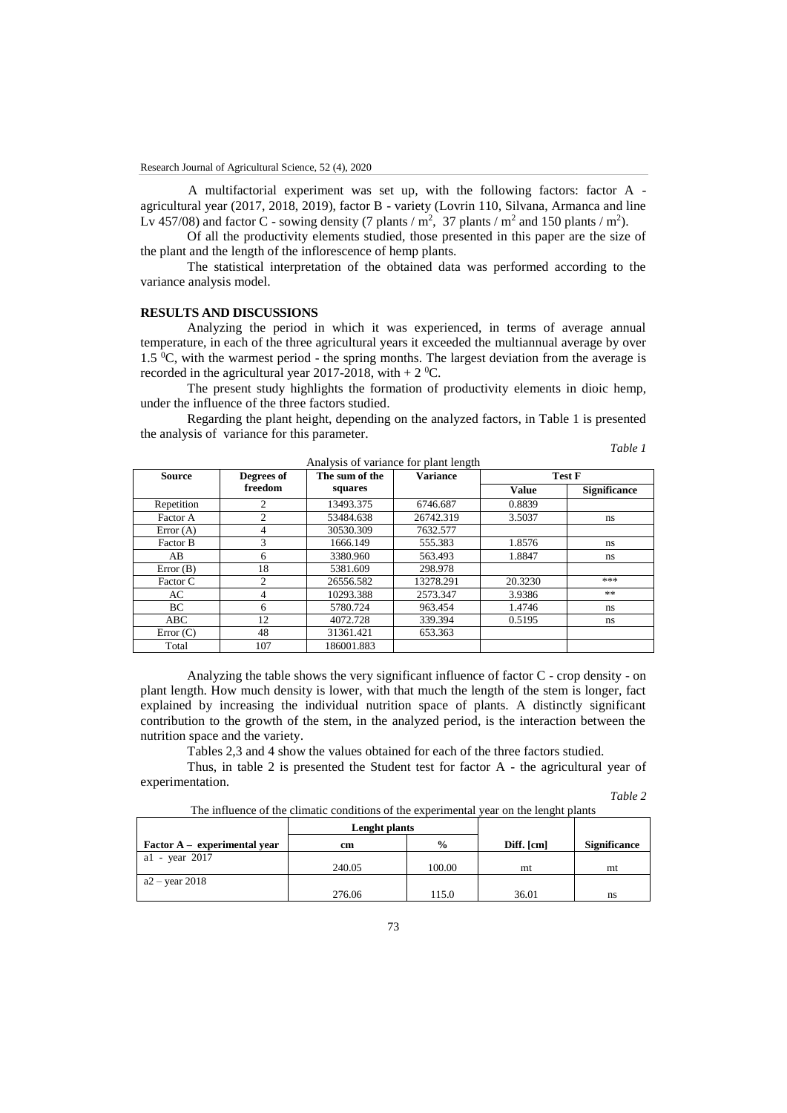A multifactorial experiment was set up, with the following factors: factor A agricultural year (2017, 2018, 2019), factor B - variety (Lovrin 110, Silvana, Armanca and line Lv 457/08) and factor C - sowing density (7 plants /  $m^2$ , 37 plants /  $m^2$  and 150 plants /  $m^2$ ).

Of all the productivity elements studied, those presented in this paper are the size of the plant and the length of the inflorescence of hemp plants.

The statistical interpretation of the obtained data was performed according to the variance analysis model.

# **RESULTS AND DISCUSSIONS**

Analyzing the period in which it was experienced, in terms of average annual temperature, in each of the three agricultural years it exceeded the multiannual average by over 1.5  $\mathrm{C}$ , with the warmest period - the spring months. The largest deviation from the average is recorded in the agricultural year 2017-2018, with  $+ 2 \degree C$ .

The present study highlights the formation of productivity elements in dioic hemp, under the influence of the three factors studied.

Regarding the plant height, depending on the analyzed factors, in Table 1 is presented the analysis of variance for this parameter.

| <b>Source</b> | Degrees of     | The sum of the | <b>Variance</b> |         | <b>Test F</b>       |
|---------------|----------------|----------------|-----------------|---------|---------------------|
|               | freedom        | squares        |                 | Value   | <b>Significance</b> |
| Repetition    | $\overline{c}$ | 13493.375      | 6746.687        | 0.8839  |                     |
| Factor A      | $\overline{c}$ | 53484.638      | 26742.319       | 3.5037  | ns                  |
| Error $(A)$   | 4              | 30530.309      | 7632.577        |         |                     |
| Factor B      | 3              | 1666.149       | 555.383         | 1.8576  | ns.                 |
| AВ            | 6              | 3380.960       | 563.493         | 1.8847  | ns.                 |
| Error $(B)$   | 18             | 5381.609       | 298.978         |         |                     |
| Factor C      | $\overline{c}$ | 26556.582      | 13278.291       | 20.3230 | ***                 |
| AC.           | 4              | 10293.388      | 2573.347        | 3.9386  | **                  |
| BC            | 6              | 5780.724       | 963.454         | 1.4746  | ns.                 |
| ABC           | 12             | 4072.728       | 339.394         | 0.5195  | ns                  |
| Error(C)      | 48             | 31361.421      | 653.363         |         |                     |
| Total         | 107            | 186001.883     |                 |         |                     |

Analysis of variance for plant length

Analyzing the table shows the very significant influence of factor  $C$  - crop density - on plant length. How much density is lower, with that much the length of the stem is longer, fact explained by increasing the individual nutrition space of plants. A distinctly significant contribution to the growth of the stem, in the analyzed period, is the interaction between the nutrition space and the variety.

Tables 2,3 and 4 show the values obtained for each of the three factors studied.

Thus, in table 2 is presented the Student test for factor A - the agricultural year of experimentation.

*Table 2*

*Table 1*

The influence of the climatic conditions of the experimental year on the lenght plants

|                                | Lenght plants |               |            |                     |
|--------------------------------|---------------|---------------|------------|---------------------|
| $Factor A - experimental year$ | cm            | $\frac{0}{0}$ | Diff. [cm] | <b>Significance</b> |
| al - year 2017                 |               |               |            |                     |
|                                | 240.05        | 100.00        | mt         | mt                  |
| $a2 - year$ 2018               |               |               |            |                     |
|                                | 276.06        | 115.0         | 36.01      | ns                  |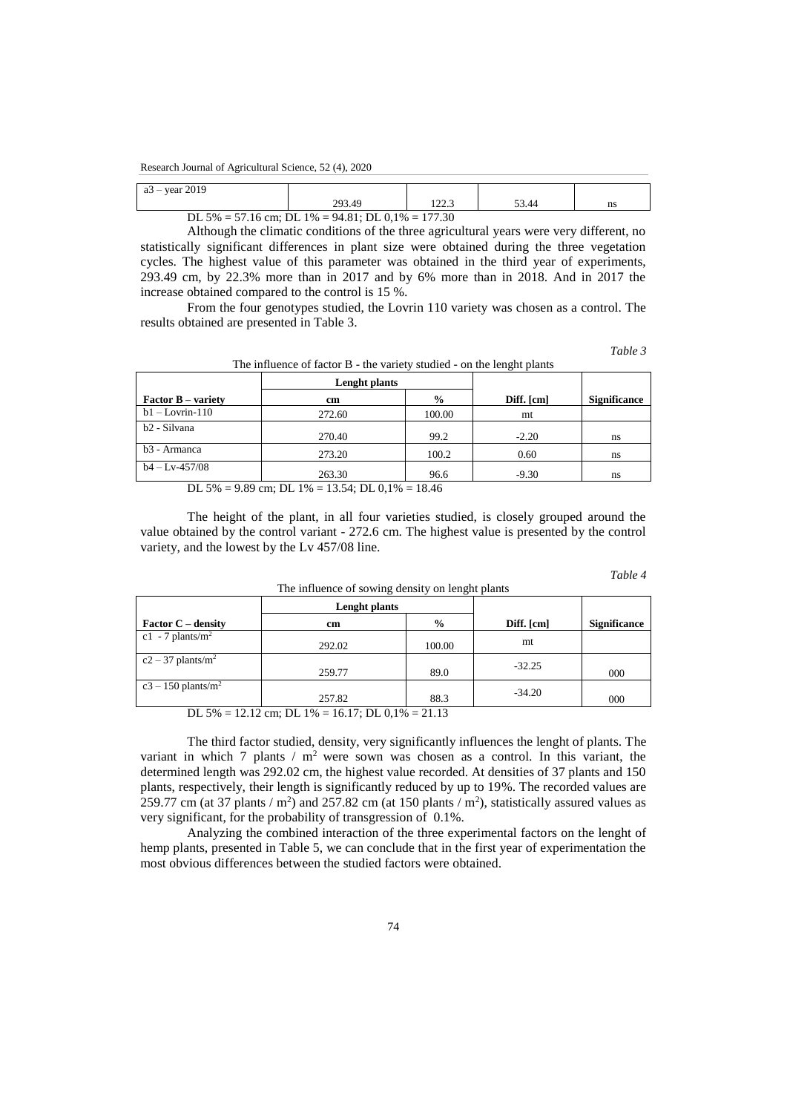## Research Journal of Agricultural Science, 52 (4), 2020

| $-$ year 2019<br>$a3 -$ |                  |                          |     |    |
|-------------------------|------------------|--------------------------|-----|----|
|                         | 203 AQ<br>ムフコ・サン | $\overline{2}$<br>ر. ے ک | .44 | ns |

DL 5% = 57.16 cm; DL 1% = 94.81; DL 0,1% = 177.30

Although the climatic conditions of the three agricultural years were very different, no statistically significant differences in plant size were obtained during the three vegetation cycles. The highest value of this parameter was obtained in the third year of experiments, 293.49 cm, by 22.3% more than in 2017 and by 6% more than in 2018. And in 2017 the increase obtained compared to the control is 15 %.

From the four genotypes studied, the Lovrin 110 variety was chosen as a control. The results obtained are presented in Table 3.

*Table 3*

The influence of factor B - the variety studied - on the lenght plants

| Lenght plants |               |                                     |                     |  |
|---------------|---------------|-------------------------------------|---------------------|--|
| cm            | $\frac{0}{0}$ | Diff. [cm]                          | <b>Significance</b> |  |
| 272.60        | 100.00        | mt                                  |                     |  |
| 270.40        | 99.2          | $-2.20$                             | ns                  |  |
| 273.20        | 100.2         | 0.60                                | ns                  |  |
| 263.30        | 96.6          | $-9.30$                             | ns                  |  |
|               | $T T$ $101$   | $10.71 \text{ N}$ $0.101$<br>$\sim$ |                     |  |

DL 5% = 9.89 cm; DL 1% = 13.54; DL 0,1% = 18.46

The height of the plant, in all four varieties studied, is closely grouped around the value obtained by the control variant - 272.6 cm. The highest value is presented by the control variety, and the lowest by the Lv 457/08 line.

The influence of sowing density on lenght plants

| Table |  |
|-------|--|
|-------|--|

|                                  | <b>Lenght plants</b>                             |               |            |                     |
|----------------------------------|--------------------------------------------------|---------------|------------|---------------------|
| <b>Factor C</b> – density        | cm                                               | $\frac{6}{9}$ | Diff. [cm] | <b>Significance</b> |
| c1 - 7 plants/ $m2$              | 292.02                                           | 100.00        | mt         |                     |
| $c2 - 37$ plants/m <sup>2</sup>  | 259.77                                           | 89.0          | $-32.25$   | 000                 |
| $c3 - 150$ plants/m <sup>2</sup> | 257.82                                           | 88.3          | $-34.20$   | 000                 |
|                                  | DL 5% = 12.12 cm; DL 1% = 16.17; DL 0,1% = 21.13 |               |            |                     |

The third factor studied, density, very significantly influences the lenght of plants. The variant in which 7 plants  $/m^2$  were sown was chosen as a control. In this variant, the determined length was 292.02 cm, the highest value recorded. At densities of 37 plants and 150 plants, respectively, their length is significantly reduced by up to 19%. The recorded values are 259.77 cm (at 37 plants /  $m^2$ ) and 257.82 cm (at 150 plants /  $m^2$ ), statistically assured values as very significant, for the probability of transgression of 0.1%.

Analyzing the combined interaction of the three experimental factors on the lenght of hemp plants, presented in Table 5, we can conclude that in the first year of experimentation the most obvious differences between the studied factors were obtained.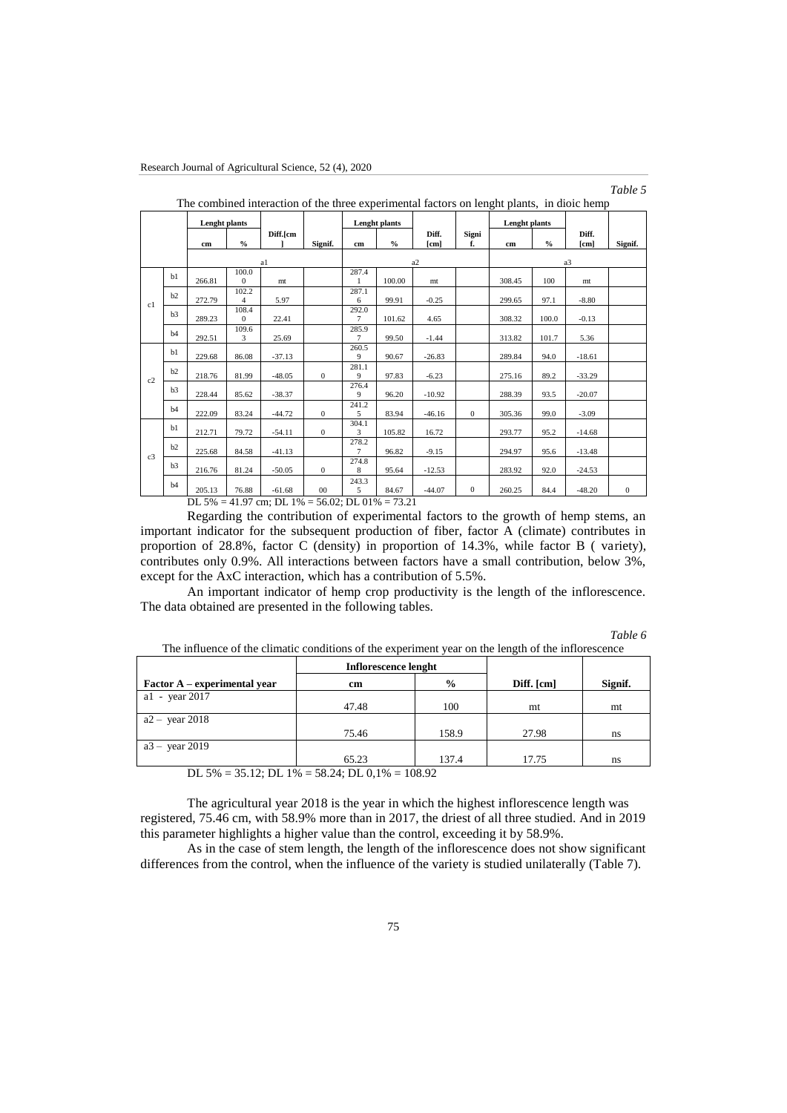## *Table 5*

|                |    | Lenght plants             |                         |          |              |                                      | <b>Lenght plants</b> |               |              | <b>Lenght plants</b> |               |                |          |
|----------------|----|---------------------------|-------------------------|----------|--------------|--------------------------------------|----------------------|---------------|--------------|----------------------|---------------|----------------|----------|
|                |    |                           | $\frac{0}{0}$           | Diff.[cm |              |                                      | $\frac{0}{0}$        | Diff.<br>[cm] | Signi<br>f.  |                      | $\frac{0}{0}$ | Diff.<br>[cm]  |          |
|                |    | cm                        |                         |          | Signif.      | cm                                   |                      |               |              | cm                   |               |                | Signif.  |
|                |    |                           |                         | a1       |              |                                      |                      | a2            |              |                      |               | a <sub>3</sub> |          |
|                | b1 | 266.81                    | 100.0<br>$\Omega$       | mt       |              | 287.4<br>$\mathbf{1}$                | 100.00               | mt            |              | 308.45               | 100           | mt             |          |
|                | b2 | 272.79                    | 102.2<br>$\overline{4}$ | 5.97     |              | 287.1<br>6                           | 99.91                | $-0.25$       |              | 299.65               | 97.1          | $-8.80$        |          |
| c1             | b3 |                           | 108.4                   |          |              | 292.0                                |                      |               |              |                      |               |                |          |
|                |    | 289.23                    | $\Omega$                | 22.41    |              | $\tau$                               | 101.62               | 4.65          |              | 308.32               | 100.0         | $-0.13$        |          |
|                | b4 | 292.51                    | 109.6<br>3              | 25.69    |              | 285.9<br>7                           | 99.50                | $-1.44$       |              | 313.82               | 101.7         | 5.36           |          |
|                | b1 | 229.68                    | 86.08                   | $-37.13$ |              | 260.5<br>9                           | 90.67                | $-26.83$      |              | 289.84               | 94.0          | $-18.61$       |          |
|                | b2 | 218.76                    | 81.99                   | $-48.05$ | $\Omega$     | 281.1<br>9                           | 97.83                | $-6.23$       |              | 275.16               | 89.2          | $-33.29$       |          |
| c2             | b3 | 228.44                    | 85.62                   | $-38.37$ |              | 276.4<br>9                           | 96.20                | $-10.92$      |              | 288.39               | 93.5          | $-20.07$       |          |
|                | b4 | 222.09                    | 83.24                   | $-44.72$ | $\mathbf{0}$ | 241.2<br>5                           | 83.94                | $-46.16$      | $\Omega$     | 305.36               | 99.0          | $-3.09$        |          |
|                | b1 | 212.71                    | 79.72                   | $-54.11$ | $\mathbf{0}$ | 304.1<br>3                           | 105.82               | 16.72         |              | 293.77               | 95.2          | $-14.68$       |          |
|                | b2 | 225.68                    | 84.58                   | $-41.13$ |              | 278.2<br>7                           | 96.82                | $-9.15$       |              | 294.97               | 95.6          | $-13.48$       |          |
| c <sub>3</sub> | b3 | 216.76                    | 81.24                   | $-50.05$ | $\mathbf{0}$ | 274.8<br>8                           | 95.64                | $-12.53$      |              | 283.92               | 92.0          | $-24.53$       |          |
|                | b4 | 205.13                    | 76.88                   | $-61.68$ | $00\,$       | 243.3<br>5                           | 84.67                | $-44.07$      | $\mathbf{0}$ | 260.25               | 84.4          | $-48.20$       | $\Omega$ |
|                |    | $\mathbf{r}$ $\mathbf{r}$ | 11.07                   | $T^*$ 10 |              | $P \neq QQ$ $\mathbf{D}I$ $Q \neq Q$ | 72.21                |               |              |                      |               |                |          |

The combined interaction of the three experimental factors on lenght plants, in dioic hemp

DL 5% = 41.97 cm; DL 1% = 56.02; DL 01% = 73.21

Regarding the contribution of experimental factors to the growth of hemp stems, an important indicator for the subsequent production of fiber, factor A (climate) contributes in proportion of 28.8%, factor C (density) in proportion of 14.3%, while factor B ( variety), contributes only 0.9%. All interactions between factors have a small contribution, below 3%, except for the AxC interaction, which has a contribution of 5.5%.

An important indicator of hemp crop productivity is the length of the inflorescence. The data obtained are presented in the following tables.

| Table 6 |  |
|---------|--|
|---------|--|

The influence of the climatic conditions of the experiment year on the length of the inflorescence

|                              | Inflorescence lenght                                       |               |            |         |
|------------------------------|------------------------------------------------------------|---------------|------------|---------|
| Factor A – experimental year | cm                                                         | $\frac{0}{0}$ | Diff. [cm] | Signif. |
| a1 - year 2017               |                                                            |               |            |         |
|                              | 47.48                                                      | 100           | mt         | mt      |
| $a2 - \text{ year } 2018$    |                                                            |               |            |         |
|                              | 75.46                                                      | 158.9         | 27.98      | ns      |
| $a3 - \text{ year } 2019$    |                                                            |               |            |         |
|                              | 65.23                                                      | 137.4         | 17.75      | ns      |
|                              | $DI$ 5% $-$ 35 12: $DI$ 1% $-$ 58 24: $DI$ 0.1% $-$ 108 02 |               |            |         |

DL 5% = 35.12; DL 1% = 58.24; DL 0,1% = 108.92

The agricultural year 2018 is the year in which the highest inflorescence length was registered, 75.46 cm, with 58.9% more than in 2017, the driest of all three studied. And in 2019 this parameter highlights a higher value than the control, exceeding it by 58.9%.

As in the case of stem length, the length of the inflorescence does not show significant differences from the control, when the influence of the variety is studied unilaterally (Table 7).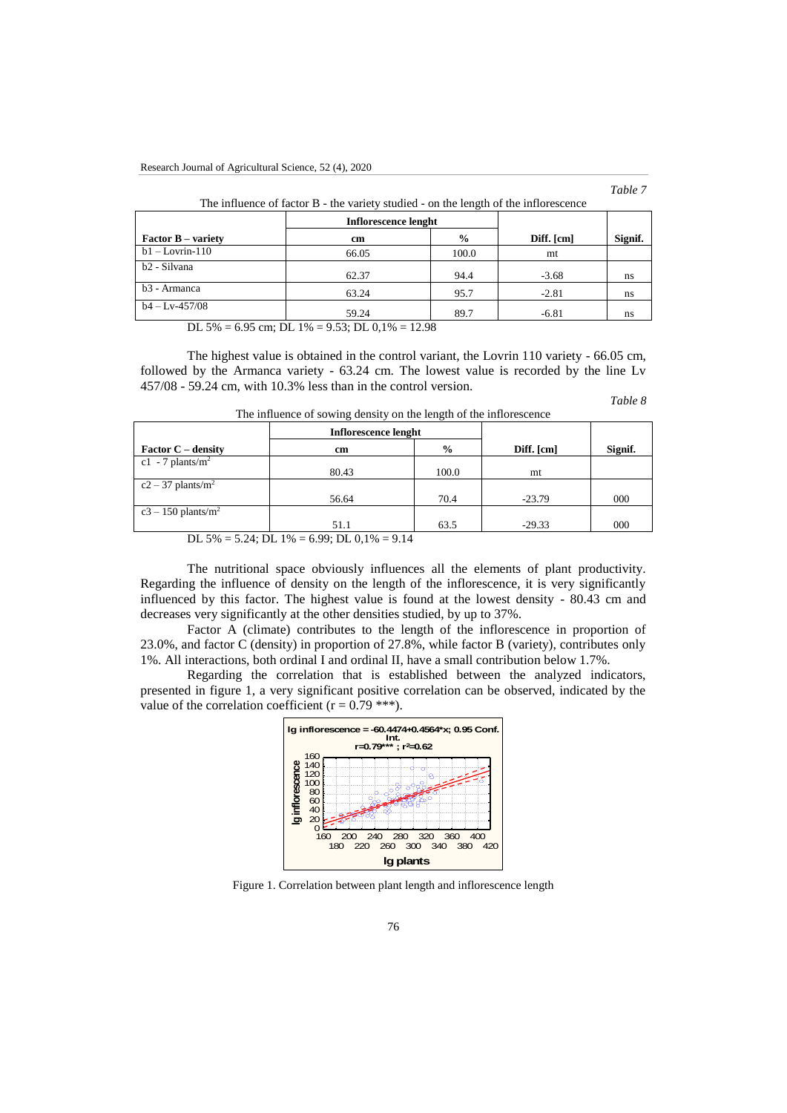## *Table 7*

| The influence of factor B - the variety studied - on the length of the inflorescence |                      |               |            |         |  |  |  |  |
|--------------------------------------------------------------------------------------|----------------------|---------------|------------|---------|--|--|--|--|
|                                                                                      | Inflorescence lenght |               |            |         |  |  |  |  |
| <b>Factor B</b> – variety                                                            | cm                   | $\frac{6}{9}$ | Diff. [cm] | Signif. |  |  |  |  |
| $b1 - Lovrin-110$                                                                    | 66.05                | 100.0         | mt         |         |  |  |  |  |
| b2 - Silvana                                                                         | 62.37                | 94.4          | $-3.68$    | ns      |  |  |  |  |
| b3 - Armanca                                                                         | 63.24                | 95.7          | $-2.81$    | ns      |  |  |  |  |
| $b4 - Lv-457/08$                                                                     | 59.24                | 89.7          | $-6.81$    | ns      |  |  |  |  |

DL 5% = 6.95 cm; DL  $1\% = 9.53$ ; DL  $0.1\% = 12.98$ 

The highest value is obtained in the control variant, the Lovrin 110 variety - 66.05 cm, followed by the Armanca variety - 63.24 cm. The lowest value is recorded by the line Lv 457/08 - 59.24 cm, with 10.3% less than in the control version.

#### *Table 8*

| The influence of sowing density on the length of the inflorescence |  |  |  |  |  |
|--------------------------------------------------------------------|--|--|--|--|--|
|                                                                    |  |  |  |  |  |

|                                                      | Inflorescence lenght |           |          |     |  |  |  |  |
|------------------------------------------------------|----------------------|-----------|----------|-----|--|--|--|--|
| <b>Factor C</b> – density                            | cm                   | Diff.[cm] | Signif.  |     |  |  |  |  |
| c1 - 7 plants/ $m2$                                  |                      |           |          |     |  |  |  |  |
|                                                      | 80.43                | 100.0     | mt       |     |  |  |  |  |
| $c2 - 37$ plants/m <sup>2</sup>                      |                      |           |          |     |  |  |  |  |
|                                                      | 56.64                | 70.4      | $-23.79$ | 000 |  |  |  |  |
| $c3 - 150$ plants/m <sup>2</sup>                     |                      |           |          |     |  |  |  |  |
|                                                      | 51.1                 | 63.5      | $-29.33$ | 000 |  |  |  |  |
| $DI$ 5% $-$ 5.24 $DI$ 1% $-$ 6.00 $DI$ 0.1% $-$ 0.14 |                      |           |          |     |  |  |  |  |

 $5\% = 5.24$ ; DL 1% = 6.99; DL 0,1% = 9.14

The nutritional space obviously influences all the elements of plant productivity. Regarding the influence of density on the length of the inflorescence, it is very significantly influenced by this factor. The highest value is found at the lowest density - 80.43 cm and decreases very significantly at the other densities studied, by up to 37%.

Factor A (climate) contributes to the length of the inflorescence in proportion of 23.0%, and factor C (density) in proportion of 27.8%, while factor B (variety), contributes only 1%. All interactions, both ordinal I and ordinal II, have a small contribution below 1.7%.

Regarding the correlation that is established between the analyzed indicators, presented in figure 1, a very significant positive correlation can be observed, indicated by the value of the correlation coefficient ( $r = 0.79$ \*\*\*).



Figure 1. Correlation between plant length and inflorescence length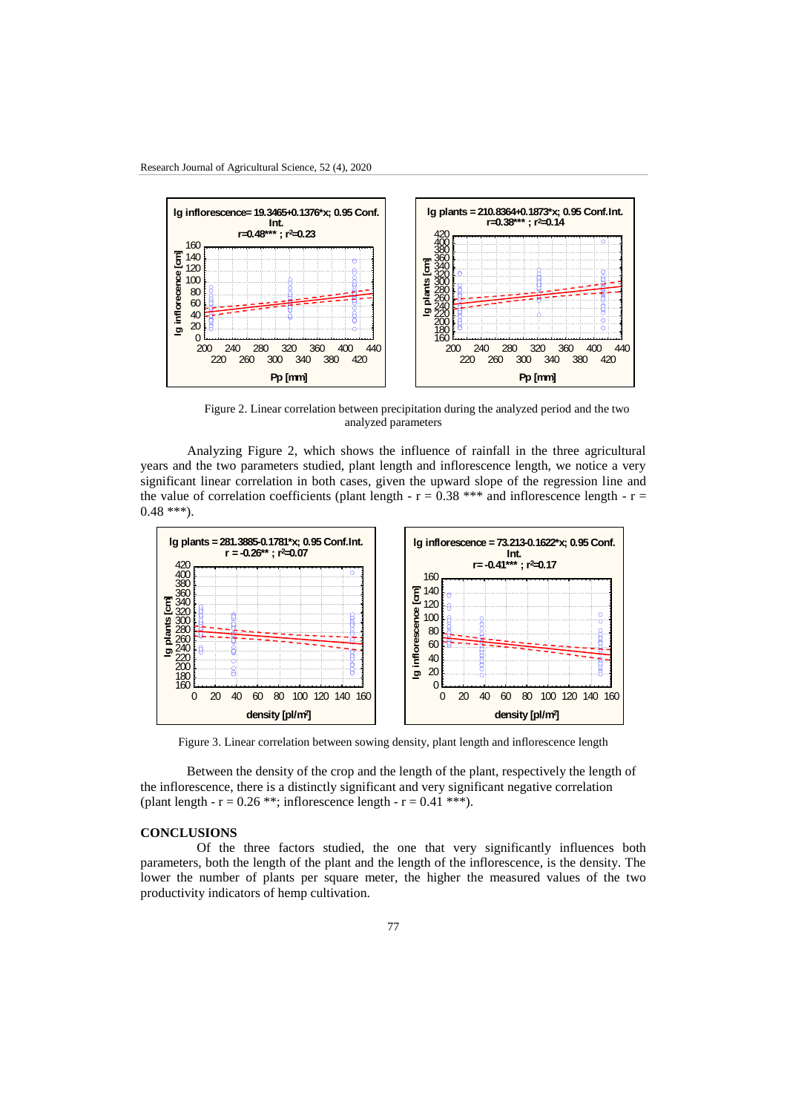

Figure 2. Linear correlation between precipitation during the analyzed period and the two analyzed parameters

Analyzing Figure 2, which shows the influence of rainfall in the three agricultural years and the two parameters studied, plant length and inflorescence length, we notice a very significant linear correlation in both cases, given the upward slope of the regression line and the value of correlation coefficients (plant length -  $r = 0.38$  \*\*\* and inflorescence length -  $r =$  $0.48$  \*\*\*).



Figure 3. Linear correlation between sowing density, plant length and inflorescence length

 Between the density of the crop and the length of the plant, respectively the length of the inflorescence, there is a distinctly significant and very significant negative correlation (plant length -  $r = 0.26$  \*\*; inflorescence length -  $r = 0.41$  \*\*\*).

# **CONCLUSIONS**

 Of the three factors studied, the one that very significantly influences both parameters, both the length of the plant and the length of the inflorescence, is the density. The lower the number of plants per square meter, the higher the measured values of the two productivity indicators of hemp cultivation.